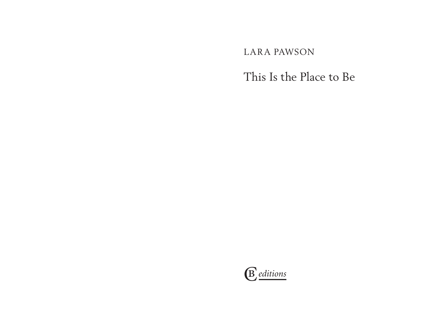LARA PAWSON

This Is the Place to Be

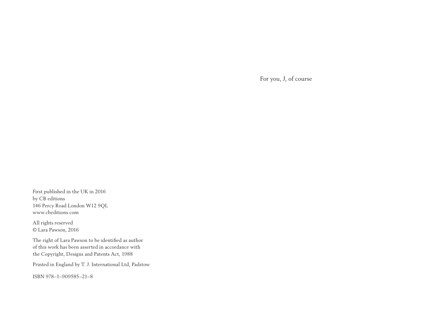For you, J, of course

First published in the UK in 2016 by CB editions 146 Percy Road London W12 9QL www.cbeditions.com

All rights reserved © Lara Pawson, 2016

The right of Lara Pawson to be identified as author of this work has been asserted in accordance with the Copyright, Designs and Patents Act, 1988

Printed in England by T. J. International Ltd, Padstow

ISBN 978–1–909585–21–8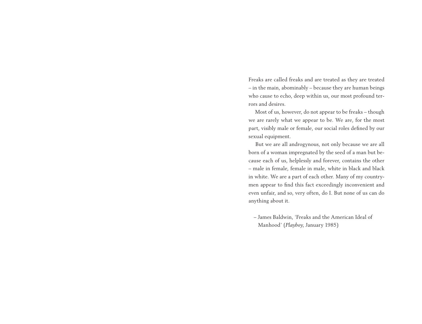Freaks are called freaks and are treated as they are treated – in the main, abominably – because they are human beings who cause to echo, deep within us, our most profound terrors and desires.

 Most of us, however, do not appear to be freaks – though we are rarely what we appear to be. We are, for the most part, visibly male or female, our social roles defined by our sexual equipment.

 But we are all androgynous, not only because we are all born of a woman impregnated by the seed of a man but because each of us, helplessly and forever, contains the other – male in female, female in male, white in black and black in white. We are a part of each other. Many of my countrymen appear to find this fact exceedingly inconvenient and even unfair, and so, very often, do I. But none of us can do anything about it.

– James Baldwin, 'Freaks and the American Ideal of Manhood' (*Playboy*, January 1985)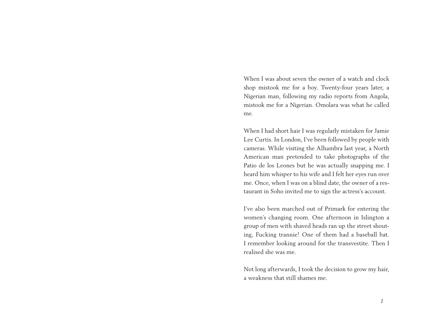When I was about seven the owner of a watch and clock shop mistook me for a boy. Twenty-four years later, a Nigerian man, following my radio reports from Angola, mistook me for a Nigerian. Omolara was what he called me.

When I had short hair I was regularly mistaken for Jamie Lee Curtis. In London, I've been followed by people with cameras. While visiting the Alhambra last year, a North American man pretended to take photographs of the Patio de los Leones but he was actually snapping me. I heard him whisper to his wife and I felt her eyes run over me. Once, when I was on a blind date, the owner of a restaurant in Soho invited me to sign the actress's account.

I've also been marched out of Primark for entering the women's changing room. One afternoon in Islington a group of men with shaved heads ran up the street shouting, Fucking trannie! One of them had a baseball bat. I remember looking around for the transvestite. Then I realised she was me.

Not long afterwards, I took the decision to grow my hair, a weakness that still shames me.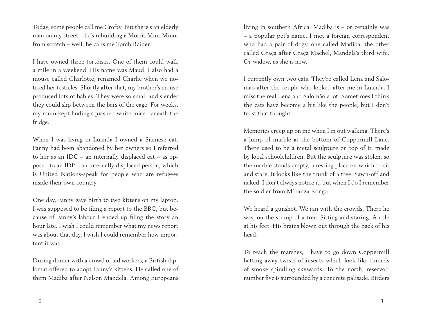Today, some people call me Crofty. But there's an elderly man on my street – he's rebuilding a Morris Mini-Minor from scratch – well, he calls me Tomb Raider.

I have owned three tortoises. One of them could walk a mile in a weekend. His name was Maud. I also had a mouse called Charlotte, renamed Charlie when we noticed her testicles. Shortly after that, my brother's mouse produced lots of babies. They were so small and slender they could slip between the bars of the cage. For weeks, my mum kept finding squashed white mice beneath the fridge.

When I was living in Luanda I owned a Siamese cat. Fanny had been abandoned by her owners so I referred to her as an IDC – an internally displaced cat – as opposed to an IDP – an internally displaced person, which is United Nations-speak for people who are refugees inside their own country.

One day, Fanny gave birth to two kittens on my laptop. I was supposed to be filing a report to the BBC, but because of Fanny's labour I ended up filing the story an hour late. I wish I could remember what my news report was about that day. I wish I could remember how important it was.

During dinner with a crowd of aid workers, a British diplomat offered to adopt Fanny's kittens. He called one of them Madiba after Nelson Mandela. Among Europeans

living in southern Africa, Madiba is – or certainly was – a popular pet's name. I met a foreign correspondent who had a pair of dogs: one called Madiba, the other called Graça after Graça Machel, Mandela's third wife. Or widow, as she is now.

I currently own two cats. They're called Lena and Salomão after the couple who looked after me in Luanda. I miss the real Lena and Salomão a lot. Sometimes I think the cats have become a bit like the people, but I don't trust that thought.

Memories creep up on me when I'm out walking. There's a lump of marble at the bottom of Coppermill Lane. There used to be a metal sculpture on top of it, made by local schoolchildren. But the sculpture was stolen, so the marble stands empty, a resting place on which to sit and stare. It looks like the trunk of a tree. Sawn-off and naked. I don't always notice it, but when I do I remember the soldier from M'banza Kongo.

We heard a gunshot. We ran with the crowds. There he was, on the stump of a tree. Sitting and staring. A rifle at his feet. His brains blown out through the back of his head.

To reach the marshes, I have to go down Coppermill batting away twists of insects which look like funnels of smoke spiralling skywards. To the north, reservoir number five is surrounded by a concrete palisade. Birders